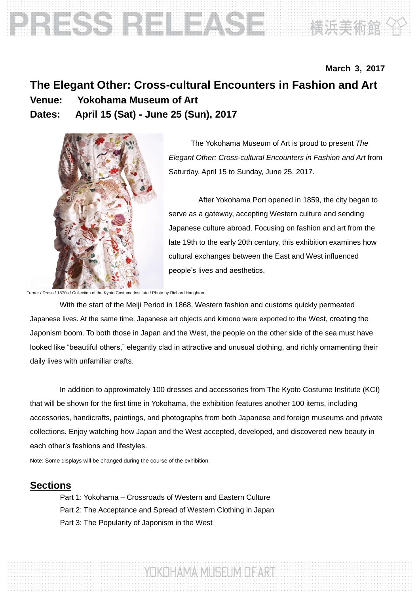# Noted that the sound of the sound of the sound of the sound of the sound of the sound of the sound of the sound of the sound of the sound of the sound of the sound of the sound of the sound of the sound of the sound of the

## **March 3, 2017 The Elegant Other: Cross-cultural Encounters in Fashion and Art Venue: Yokohama Museum of Art Dates: April 15 (Sat) - June 25 (Sun), 2017**



The Yokohama Museum of Art is proud to present *The Elegant Other: Cross-cultural Encounters in Fashion and Art* from Saturday, April 15 to Sunday, June 25, 2017.

After Yokohama Port opened in 1859, the city began to serve as a gateway, accepting Western culture and sending Japanese culture abroad. Focusing on fashion and art from the late 19th to the early 20th century, this exhibition examines how cultural exchanges between the East and West influenced people's lives and aesthetics.

Turner / Dress / 1870s / Collection of the Kyoto Costume Institute / Photo by Richard Haughton

With the start of the Meiji Period in 1868, Western fashion and customs quickly permeated Japanese lives. At the same time, Japanese art objects and kimono were exported to the West, creating the Japonism boom. To both those in Japan and the West, the people on the other side of the sea must have looked like "beautiful others," elegantly clad in attractive and unusual clothing, and richly ornamenting their daily lives with unfamiliar crafts.

In addition to approximately 100 dresses and accessories from The Kyoto Costume Institute (KCI) that will be shown for the first time in Yokohama, the exhibition features another 100 items, including accessories, handicrafts, paintings, and photographs from both Japanese and foreign museums and private collections. Enjoy watching how Japan and the West accepted, developed, and discovered new beauty in each other's fashions and lifestyles.

YOKOHAMA MUSEUM OF ART

Note: Some displays will be changed during the course of the exhibition.

#### **Sections**

Part 1: Yokohama – Crossroads of Western and Eastern Culture Part 2: The Acceptance and Spread of Western Clothing in Japan Part 3: The Popularity of Japonism in the West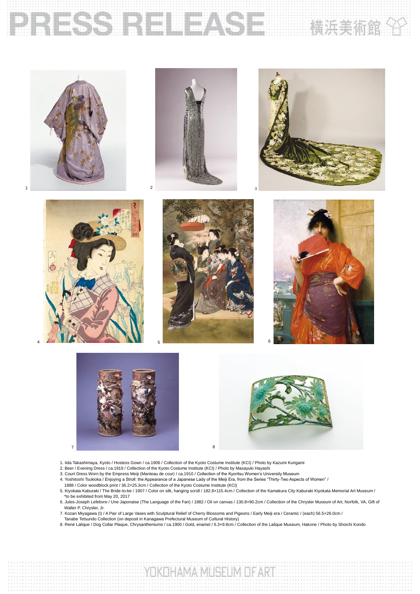# **BRESSERE FREEZSERVERS**

















- 1. lida Takashimaya, Kyoto / Hostess Gown / ca.1906 / Collection of the Kyoto Costume Institute (KCI) / Photo by Kazumi Kurigami<br>2. Beer / Evening Dress / ca.1919 / Collection of the Kyoto Costume Institute (KCI) / Photo b
- 
- 3. Court Dress Worn by the Empress Meiji (Manteau de cour) / ca.1910 / Collection of the Kyoritsu Women's University Museum
- / "A. Yoshitoshi Tsukioka / Enjoying a Stroll: the Appearance of a Japanese Lady of the Meiji Era, from the Series "Thirty-Two Aspects of Women" /<br>1888 / Color woodblock print / 36.2x25.3cm / Collection of the Kyoto Costum
- 5. Kiyokata Kaburaki / The Bride-to-be / 1907 / Color on silk, hanging scroll / 182.8×115.4cm / Collection of the Kamakura City Kaburaki Kiyokata Memorial Art Museum /
- \*to be exhibited from May 20, 2017 6. Jules-Joseph Lefebvre / Une Japonaise (The Language of the Fan) / 1882 / Oil on canvas / 130.8×90.2cm / Collection of the Chrysler Museum of Art, Norfolk, VA, Gift of Walter P. Chrysler, Jr.
- 7. Kozan Miyagawa (I) / A Pair of Large Vases with Sculptural Relief of Cherry Blossoms and Pigeons / Early Meiji era / Ceramic / (each) 56.5x26.0cm /<br>Tanabe Tetsundo Collection (on deposit in Kanagawa Prefectural Museum o
- 
- 8. René Lalique / Dog Collar Plaque, Chrysanthemums / ca.1900 / Gold, enamel / 6.3×9.8cm / Collection of the Lalique Museum, Hakone / Photo by Shoichi Kondo

YOKOHAMA MUSEUM DE ART